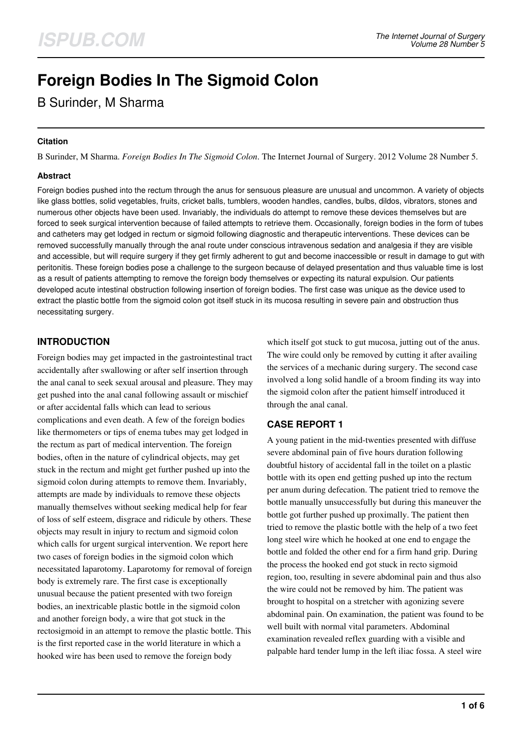# **Foreign Bodies In The Sigmoid Colon**

# B Surinder, M Sharma

#### **Citation**

B Surinder, M Sharma. *Foreign Bodies In The Sigmoid Colon*. The Internet Journal of Surgery. 2012 Volume 28 Number 5.

#### **Abstract**

Foreign bodies pushed into the rectum through the anus for sensuous pleasure are unusual and uncommon. A variety of objects like glass bottles, solid vegetables, fruits, cricket balls, tumblers, wooden handles, candles, bulbs, dildos, vibrators, stones and numerous other objects have been used. Invariably, the individuals do attempt to remove these devices themselves but are forced to seek surgical intervention because of failed attempts to retrieve them. Occasionally, foreign bodies in the form of tubes and catheters may get lodged in rectum or sigmoid following diagnostic and therapeutic interventions. These devices can be removed successfully manually through the anal route under conscious intravenous sedation and analgesia if they are visible and accessible, but will require surgery if they get firmly adherent to gut and become inaccessible or result in damage to gut with peritonitis. These foreign bodies pose a challenge to the surgeon because of delayed presentation and thus valuable time is lost as a result of patients attempting to remove the foreign body themselves or expecting its natural expulsion. Our patients developed acute intestinal obstruction following insertion of foreign bodies. The first case was unique as the device used to extract the plastic bottle from the sigmoid colon got itself stuck in its mucosa resulting in severe pain and obstruction thus necessitating surgery.

# **INTRODUCTION**

Foreign bodies may get impacted in the gastrointestinal tract accidentally after swallowing or after self insertion through the anal canal to seek sexual arousal and pleasure. They may get pushed into the anal canal following assault or mischief or after accidental falls which can lead to serious complications and even death. A few of the foreign bodies like thermometers or tips of enema tubes may get lodged in the rectum as part of medical intervention. The foreign bodies, often in the nature of cylindrical objects, may get stuck in the rectum and might get further pushed up into the sigmoid colon during attempts to remove them. Invariably, attempts are made by individuals to remove these objects manually themselves without seeking medical help for fear of loss of self esteem, disgrace and ridicule by others. These objects may result in injury to rectum and sigmoid colon which calls for urgent surgical intervention. We report here two cases of foreign bodies in the sigmoid colon which necessitated laparotomy. Laparotomy for removal of foreign body is extremely rare. The first case is exceptionally unusual because the patient presented with two foreign bodies, an inextricable plastic bottle in the sigmoid colon and another foreign body, a wire that got stuck in the rectosigmoid in an attempt to remove the plastic bottle. This is the first reported case in the world literature in which a hooked wire has been used to remove the foreign body

which itself got stuck to gut mucosa, jutting out of the anus. The wire could only be removed by cutting it after availing the services of a mechanic during surgery. The second case involved a long solid handle of a broom finding its way into the sigmoid colon after the patient himself introduced it through the anal canal.

# **CASE REPORT 1**

A young patient in the mid-twenties presented with diffuse severe abdominal pain of five hours duration following doubtful history of accidental fall in the toilet on a plastic bottle with its open end getting pushed up into the rectum per anum during defecation. The patient tried to remove the bottle manually unsuccessfully but during this maneuver the bottle got further pushed up proximally. The patient then tried to remove the plastic bottle with the help of a two feet long steel wire which he hooked at one end to engage the bottle and folded the other end for a firm hand grip. During the process the hooked end got stuck in recto sigmoid region, too, resulting in severe abdominal pain and thus also the wire could not be removed by him. The patient was brought to hospital on a stretcher with agonizing severe abdominal pain. On examination, the patient was found to be well built with normal vital parameters. Abdominal examination revealed reflex guarding with a visible and palpable hard tender lump in the left iliac fossa. A steel wire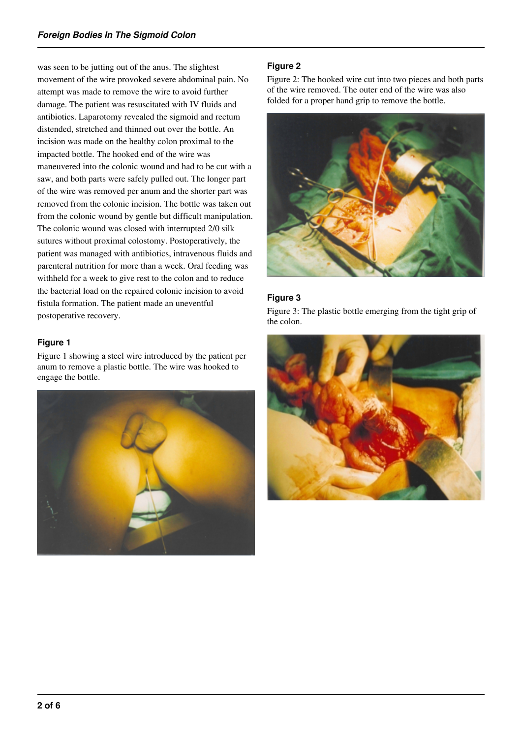was seen to be jutting out of the anus. The slightest movement of the wire provoked severe abdominal pain. No attempt was made to remove the wire to avoid further damage. The patient was resuscitated with IV fluids and antibiotics. Laparotomy revealed the sigmoid and rectum distended, stretched and thinned out over the bottle. An incision was made on the healthy colon proximal to the impacted bottle. The hooked end of the wire was maneuvered into the colonic wound and had to be cut with a saw, and both parts were safely pulled out. The longer part of the wire was removed per anum and the shorter part was removed from the colonic incision. The bottle was taken out from the colonic wound by gentle but difficult manipulation. The colonic wound was closed with interrupted 2/0 silk sutures without proximal colostomy. Postoperatively, the patient was managed with antibiotics, intravenous fluids and parenteral nutrition for more than a week. Oral feeding was withheld for a week to give rest to the colon and to reduce the bacterial load on the repaired colonic incision to avoid fistula formation. The patient made an uneventful postoperative recovery.

#### **Figure 1**

Figure 1 showing a steel wire introduced by the patient per anum to remove a plastic bottle. The wire was hooked to engage the bottle.



# **Figure 2**

Figure 2: The hooked wire cut into two pieces and both parts of the wire removed. The outer end of the wire was also folded for a proper hand grip to remove the bottle.



# **Figure 3**

Figure 3: The plastic bottle emerging from the tight grip of the colon.

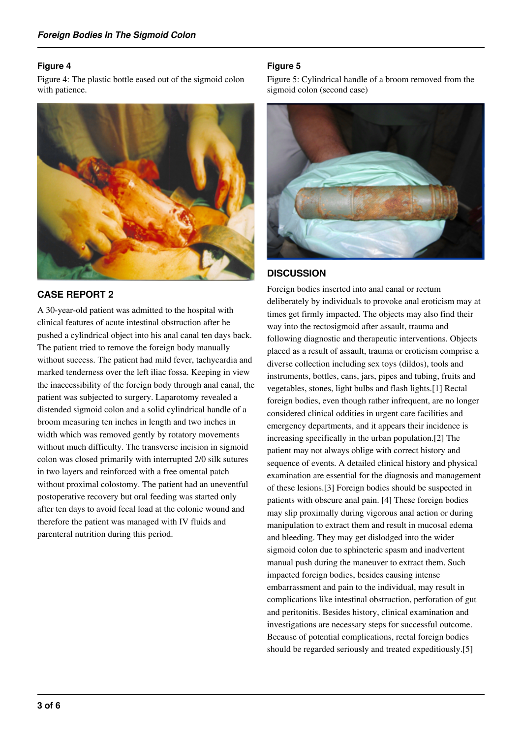#### **Figure 4**

Figure 4: The plastic bottle eased out of the sigmoid colon with patience.



# **CASE REPORT 2**

A 30-year-old patient was admitted to the hospital with clinical features of acute intestinal obstruction after he pushed a cylindrical object into his anal canal ten days back. The patient tried to remove the foreign body manually without success. The patient had mild fever, tachycardia and marked tenderness over the left iliac fossa. Keeping in view the inaccessibility of the foreign body through anal canal, the patient was subjected to surgery. Laparotomy revealed a distended sigmoid colon and a solid cylindrical handle of a broom measuring ten inches in length and two inches in width which was removed gently by rotatory movements without much difficulty. The transverse incision in sigmoid colon was closed primarily with interrupted 2/0 silk sutures in two layers and reinforced with a free omental patch without proximal colostomy. The patient had an uneventful postoperative recovery but oral feeding was started only after ten days to avoid fecal load at the colonic wound and therefore the patient was managed with IV fluids and parenteral nutrition during this period.

#### **Figure 5**

Figure 5: Cylindrical handle of a broom removed from the sigmoid colon (second case)



# **DISCUSSION**

Foreign bodies inserted into anal canal or rectum deliberately by individuals to provoke anal eroticism may at times get firmly impacted. The objects may also find their way into the rectosigmoid after assault, trauma and following diagnostic and therapeutic interventions. Objects placed as a result of assault, trauma or eroticism comprise a diverse collection including sex toys (dildos), tools and instruments, bottles, cans, jars, pipes and tubing, fruits and vegetables, stones, light bulbs and flash lights.[1] Rectal foreign bodies, even though rather infrequent, are no longer considered clinical oddities in urgent care facilities and emergency departments, and it appears their incidence is increasing specifically in the urban population.[2] The patient may not always oblige with correct history and sequence of events. A detailed clinical history and physical examination are essential for the diagnosis and management of these lesions.[3] Foreign bodies should be suspected in patients with obscure anal pain. [4] These foreign bodies may slip proximally during vigorous anal action or during manipulation to extract them and result in mucosal edema and bleeding. They may get dislodged into the wider sigmoid colon due to sphincteric spasm and inadvertent manual push during the maneuver to extract them. Such impacted foreign bodies, besides causing intense embarrassment and pain to the individual, may result in complications like intestinal obstruction, perforation of gut and peritonitis. Besides history, clinical examination and investigations are necessary steps for successful outcome. Because of potential complications, rectal foreign bodies should be regarded seriously and treated expeditiously.[5]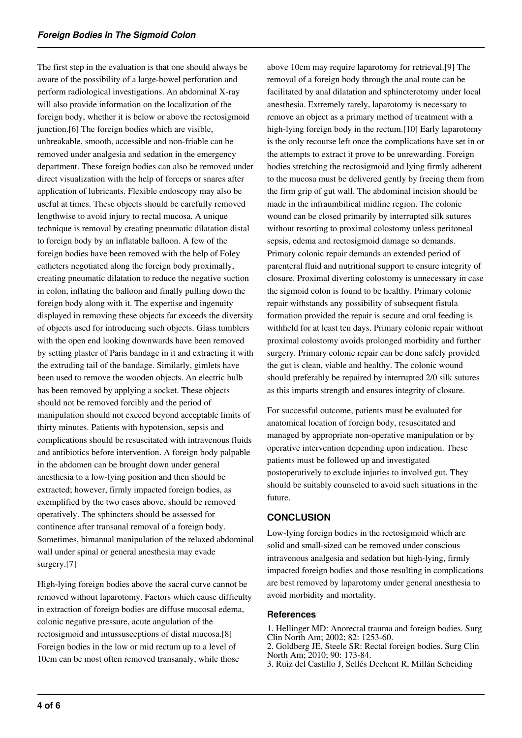The first step in the evaluation is that one should always be aware of the possibility of a large-bowel perforation and perform radiological investigations. An abdominal X-ray will also provide information on the localization of the foreign body, whether it is below or above the rectosigmoid junction.[6] The foreign bodies which are visible, unbreakable, smooth, accessible and non-friable can be removed under analgesia and sedation in the emergency department. These foreign bodies can also be removed under direct visualization with the help of forceps or snares after application of lubricants. Flexible endoscopy may also be useful at times. These objects should be carefully removed lengthwise to avoid injury to rectal mucosa. A unique technique is removal by creating pneumatic dilatation distal to foreign body by an inflatable balloon. A few of the foreign bodies have been removed with the help of Foley catheters negotiated along the foreign body proximally, creating pneumatic dilatation to reduce the negative suction in colon, inflating the balloon and finally pulling down the foreign body along with it. The expertise and ingenuity displayed in removing these objects far exceeds the diversity of objects used for introducing such objects. Glass tumblers with the open end looking downwards have been removed by setting plaster of Paris bandage in it and extracting it with the extruding tail of the bandage. Similarly, gimlets have been used to remove the wooden objects. An electric bulb has been removed by applying a socket. These objects should not be removed forcibly and the period of manipulation should not exceed beyond acceptable limits of thirty minutes. Patients with hypotension, sepsis and complications should be resuscitated with intravenous fluids and antibiotics before intervention. A foreign body palpable in the abdomen can be brought down under general anesthesia to a low-lying position and then should be extracted; however, firmly impacted foreign bodies, as exemplified by the two cases above, should be removed operatively. The sphincters should be assessed for continence after transanal removal of a foreign body. Sometimes, bimanual manipulation of the relaxed abdominal wall under spinal or general anesthesia may evade surgery.[7]

High-lying foreign bodies above the sacral curve cannot be removed without laparotomy. Factors which cause difficulty in extraction of foreign bodies are diffuse mucosal edema, colonic negative pressure, acute angulation of the rectosigmoid and intussusceptions of distal mucosa.[8] Foreign bodies in the low or mid rectum up to a level of 10cm can be most often removed transanaly, while those

above 10cm may require laparotomy for retrieval.[9] The removal of a foreign body through the anal route can be facilitated by anal dilatation and sphincterotomy under local anesthesia. Extremely rarely, laparotomy is necessary to remove an object as a primary method of treatment with a high-lying foreign body in the rectum.[10] Early laparotomy is the only recourse left once the complications have set in or the attempts to extract it prove to be unrewarding. Foreign bodies stretching the rectosigmoid and lying firmly adherent to the mucosa must be delivered gently by freeing them from the firm grip of gut wall. The abdominal incision should be made in the infraumbilical midline region. The colonic wound can be closed primarily by interrupted silk sutures without resorting to proximal colostomy unless peritoneal sepsis, edema and rectosigmoid damage so demands. Primary colonic repair demands an extended period of parenteral fluid and nutritional support to ensure integrity of closure. Proximal diverting colostomy is unnecessary in case the sigmoid colon is found to be healthy. Primary colonic repair withstands any possibility of subsequent fistula formation provided the repair is secure and oral feeding is withheld for at least ten days. Primary colonic repair without proximal colostomy avoids prolonged morbidity and further surgery. Primary colonic repair can be done safely provided the gut is clean, viable and healthy. The colonic wound should preferably be repaired by interrupted 2/0 silk sutures as this imparts strength and ensures integrity of closure.

For successful outcome, patients must be evaluated for anatomical location of foreign body, resuscitated and managed by appropriate non-operative manipulation or by operative intervention depending upon indication. These patients must be followed up and investigated postoperatively to exclude injuries to involved gut. They should be suitably counseled to avoid such situations in the future.

# **CONCLUSION**

Low-lying foreign bodies in the rectosigmoid which are solid and small-sized can be removed under conscious intravenous analgesia and sedation but high-lying, firmly impacted foreign bodies and those resulting in complications are best removed by laparotomy under general anesthesia to avoid morbidity and mortality.

#### **References**

1. Hellinger MD: Anorectal trauma and foreign bodies. Surg Clin North Am; 2002; 82: 1253-60.

2. Goldberg JE, Steele SR: Rectal foreign bodies. Surg Clin North Am; 2010; 90: 173-84.

3. Ruiz del Castillo J, Sellés Dechent R, Millán Scheiding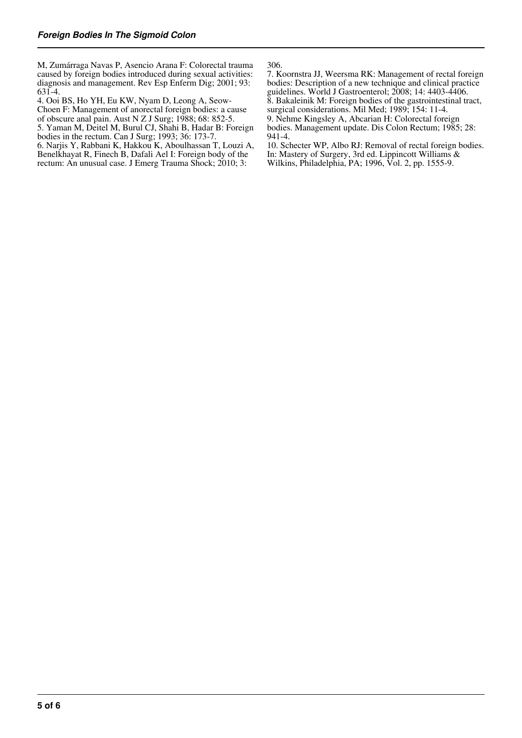M, Zumárraga Navas P, Asencio Arana F: Colorectal trauma caused by foreign bodies introduced during sexual activities: diagnosis and management. Rev Esp Enferm Dig; 2001; 93: 631-4.

4. Ooi BS, Ho YH, Eu KW, Nyam D, Leong A, Seow-Choen F: Management of anorectal foreign bodies: a cause of obscure anal pain. Aust N Z J Surg; 1988; 68: 852-5. 5. Yaman M, Deitel M, Burul CJ, Shahi B, Hadar B: Foreign

bodies in the rectum. Can J Surg; 1993; 36: 173-7.

6. Narjis Y, Rabbani K, Hakkou K, Aboulhassan T, Louzi A, Benelkhayat R, Finech B, Dafali Ael I: Foreign body of the rectum: An unusual case. J Emerg Trauma Shock; 2010; 3:

306.

7. Koornstra JJ, Weersma RK: Management of rectal foreign bodies: Description of a new technique and clinical practice guidelines. World J Gastroenterol; 2008; 14: 4403-4406. 8. Bakaleinik M: Foreign bodies of the gastrointestinal tract, surgical considerations. Mil Med; 1989; 154: 11-4. 9. Nehme Kingsley A, Abcarian H: Colorectal foreign bodies. Management update. Dis Colon Rectum; 1985; 28: 941-4.

10. Schecter WP, Albo RJ: Removal of rectal foreign bodies. In: Mastery of Surgery, 3rd ed. Lippincott Williams & Wilkins, Philadelphia, PA; 1996, Vol. 2, pp. 1555-9.